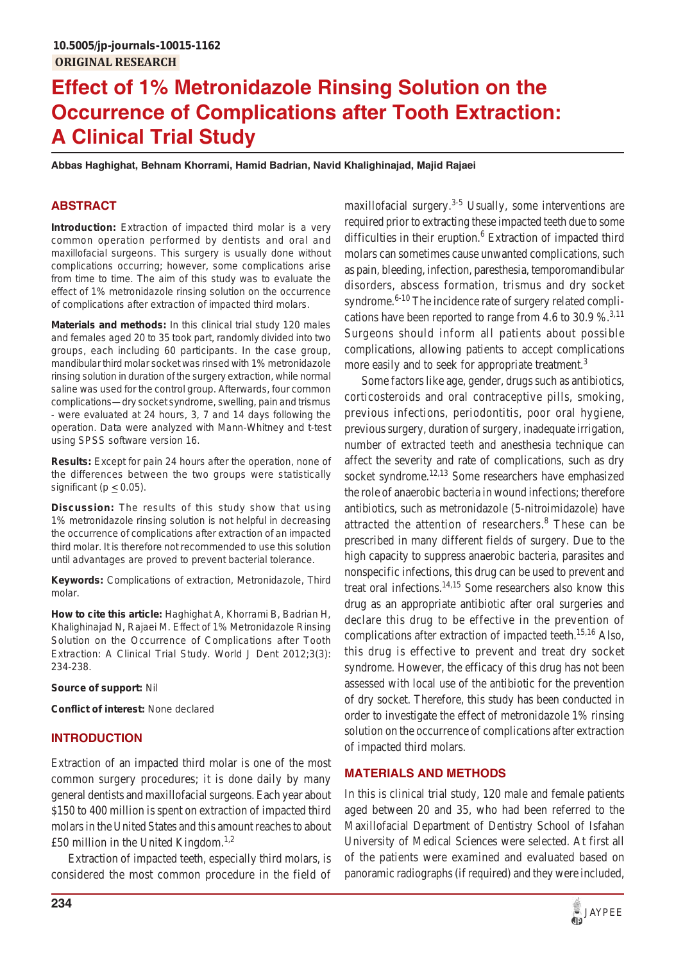# **Effect of 1% Metronidazole Rinsing Solution on the Occurrence of Complications after Tooth Extraction: A Clinical Trial Study**

**Abbas Haghighat, Behnam Khorrami, Hamid Badrian, Navid Khalighinajad, Majid Rajaei**

## **ABSTRACT**

**Introduction:** Extraction of impacted third molar is a very common operation performed by dentists and oral and maxillofacial surgeons. This surgery is usually done without complications occurring; however, some complications arise from time to time. The aim of this study was to evaluate the effect of 1% metronidazole rinsing solution on the occurrence of complications after extraction of impacted third molars.

**Materials and methods:** In this clinical trial study 120 males and females aged 20 to 35 took part, randomly divided into two groups, each including 60 participants. In the case group, mandibular third molar socket was rinsed with 1% metronidazole rinsing solution in duration of the surgery extraction, while normal saline was used for the control group. Afterwards, four common complications—dry socket syndrome, swelling, pain and trismus - were evaluated at 24 hours, 3, 7 and 14 days following the operation. Data were analyzed with Mann-Whitney and t-test using SPSS software version 16.

**Results:** Except for pain 24 hours after the operation, none of the differences between the two groups were statistically significant ( $p \leq 0.05$ ).

**Discussion:** The results of this study show that using 1% metronidazole rinsing solution is not helpful in decreasing the occurrence of complications after extraction of an impacted third molar. It is therefore not recommended to use this solution until advantages are proved to prevent bacterial tolerance.

**Keywords:** Complications of extraction, Metronidazole, Third molar.

**How to cite this article:** Haghighat A, Khorrami B, Badrian H, Khalighinajad N, Rajaei M. Effect of 1% Metronidazole Rinsing Solution on the Occurrence of Complications after Tooth Extraction: A Clinical Trial Study. World J Dent 2012;3(3): 234-238.

**Source of support:** Nil

**Conflict of interest:** None declared

## **INTRODUCTION**

Extraction of an impacted third molar is one of the most common surgery procedures; it is done daily by many general dentists and maxillofacial surgeons. Each year about \$150 to 400 million is spent on extraction of impacted third molars in the United States and this amount reaches to about £50 million in the United Kingdom.<sup>1,2</sup>

Extraction of impacted teeth, especially third molars, is considered the most common procedure in the field of

maxillofacial surgery. $3-5$  Usually, some interventions are required prior to extracting these impacted teeth due to some difficulties in their eruption.<sup>6</sup> Extraction of impacted third molars can sometimes cause unwanted complications, such as pain, bleeding, infection, paresthesia, temporomandibular disorders, abscess formation, trismus and dry socket syndrome. $6-10$  The incidence rate of surgery related complications have been reported to range from 4.6 to 30.9 %.<sup>3,11</sup> Surgeons should inform all patients about possible complications, allowing patients to accept complications more easily and to seek for appropriate treatment.<sup>3</sup>

Some factors like age, gender, drugs such as antibiotics, corticosteroids and oral contraceptive pills, smoking, previous infections, periodontitis, poor oral hygiene, previous surgery, duration of surgery, inadequate irrigation, number of extracted teeth and anesthesia technique can affect the severity and rate of complications, such as dry socket syndrome.<sup>12,13</sup> Some researchers have emphasized the role of anaerobic bacteria in wound infections; therefore antibiotics, such as metronidazole (5-nitroimidazole) have attracted the attention of researchers.<sup>8</sup> These can be prescribed in many different fields of surgery. Due to the high capacity to suppress anaerobic bacteria, parasites and nonspecific infections, this drug can be used to prevent and treat oral infections.<sup>14,15</sup> Some researchers also know this drug as an appropriate antibiotic after oral surgeries and declare this drug to be effective in the prevention of complications after extraction of impacted teeth.<sup>15,16</sup> Also, this drug is effective to prevent and treat dry socket syndrome. However, the efficacy of this drug has not been assessed with local use of the antibiotic for the prevention of dry socket. Therefore, this study has been conducted in order to investigate the effect of metronidazole 1% rinsing solution on the occurrence of complications after extraction of impacted third molars.

## **MATERIALS AND METHODS**

In this is clinical trial study, 120 male and female patients aged between 20 and 35, who had been referred to the Maxillofacial Department of Dentistry School of Isfahan University of Medical Sciences were selected. At first all of the patients were examined and evaluated based on panoramic radiographs (if required) and they were included,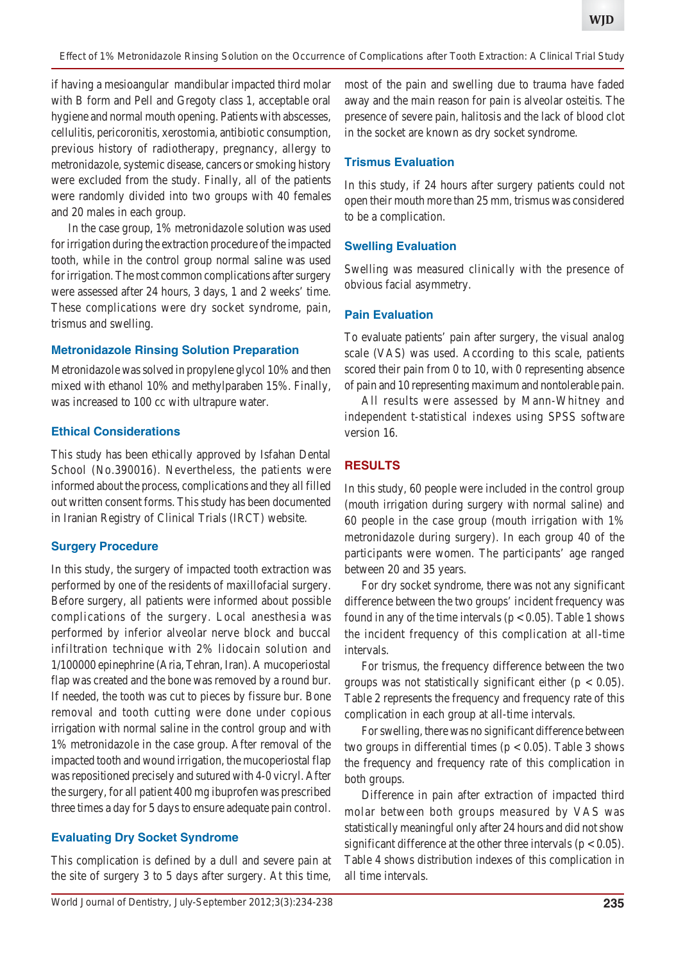*Effect of 1% Metronidazole Rinsing Solution on the Occurrence of Complications after Tooth Extraction: A Clinical Trial Study*

if having a mesioangular mandibular impacted third molar with B form and Pell and Gregoty class 1, acceptable oral hygiene and normal mouth opening. Patients with abscesses, cellulitis, pericoronitis, xerostomia, antibiotic consumption, previous history of radiotherapy, pregnancy, allergy to metronidazole, systemic disease, cancers or smoking history were excluded from the study. Finally, all of the patients were randomly divided into two groups with 40 females and 20 males in each group.

In the case group, 1% metronidazole solution was used for irrigation during the extraction procedure of the impacted tooth, while in the control group normal saline was used for irrigation. The most common complications after surgery were assessed after 24 hours, 3 days, 1 and 2 weeks' time. These complications were dry socket syndrome, pain, trismus and swelling.

# **Metronidazole Rinsing Solution Preparation**

Metronidazole was solved in propylene glycol 10% and then mixed with ethanol 10% and methylparaben 15%. Finally, was increased to 100 cc with ultrapure water.

#### **Ethical Considerations**

This study has been ethically approved by Isfahan Dental School (No.390016). Nevertheless, the patients were informed about the process, complications and they all filled out written consent forms. This study has been documented in Iranian Registry of Clinical Trials (IRCT) website.

## **Surgery Procedure**

In this study, the surgery of impacted tooth extraction was performed by one of the residents of maxillofacial surgery. Before surgery, all patients were informed about possible complications of the surgery. Local anesthesia was performed by inferior alveolar nerve block and buccal infiltration technique with 2% lidocain solution and 1/100000 epinephrine (Aria, Tehran, Iran). A mucoperiostal flap was created and the bone was removed by a round bur. If needed, the tooth was cut to pieces by fissure bur. Bone removal and tooth cutting were done under copious irrigation with normal saline in the control group and with 1% metronidazole in the case group. After removal of the impacted tooth and wound irrigation, the mucoperiostal flap was repositioned precisely and sutured with 4-0 vicryl. After the surgery, for all patient 400 mg ibuprofen was prescribed three times a day for 5 days to ensure adequate pain control.

## **Evaluating Dry Socket Syndrome**

This complication is defined by a dull and severe pain at the site of surgery 3 to 5 days after surgery. At this time,

most of the pain and swelling due to trauma have faded away and the main reason for pain is alveolar osteitis. The presence of severe pain, halitosis and the lack of blood clot in the socket are known as dry socket syndrome.

#### **Trismus Evaluation**

In this study, if 24 hours after surgery patients could not open their mouth more than 25 mm, trismus was considered to be a complication.

#### **Swelling Evaluation**

Swelling was measured clinically with the presence of obvious facial asymmetry.

## **Pain Evaluation**

To evaluate patients' pain after surgery, the visual analog scale (VAS) was used. According to this scale, patients scored their pain from 0 to 10, with 0 representing absence of pain and 10 representing maximum and nontolerable pain.

All results were assessed by Mann-Whitney and independent t-statistical indexes using SPSS software version 16.

## **RESULTS**

In this study, 60 people were included in the control group (mouth irrigation during surgery with normal saline) and 60 people in the case group (mouth irrigation with 1% metronidazole during surgery). In each group 40 of the participants were women. The participants' age ranged between 20 and 35 years.

For dry socket syndrome, there was not any significant difference between the two groups' incident frequency was found in any of the time intervals ( $p < 0.05$ ). Table 1 shows the incident frequency of this complication at all-time intervals.

For trismus, the frequency difference between the two groups was not statistically significant either ( $p < 0.05$ ). Table 2 represents the frequency and frequency rate of this complication in each group at all-time intervals.

For swelling, there was no significant difference between two groups in differential times ( $p < 0.05$ ). Table 3 shows the frequency and frequency rate of this complication in both groups.

Difference in pain after extraction of impacted third molar between both groups measured by VAS was statistically meaningful only after 24 hours and did not show significant difference at the other three intervals ( $p < 0.05$ ). Table 4 shows distribution indexes of this complication in all time intervals.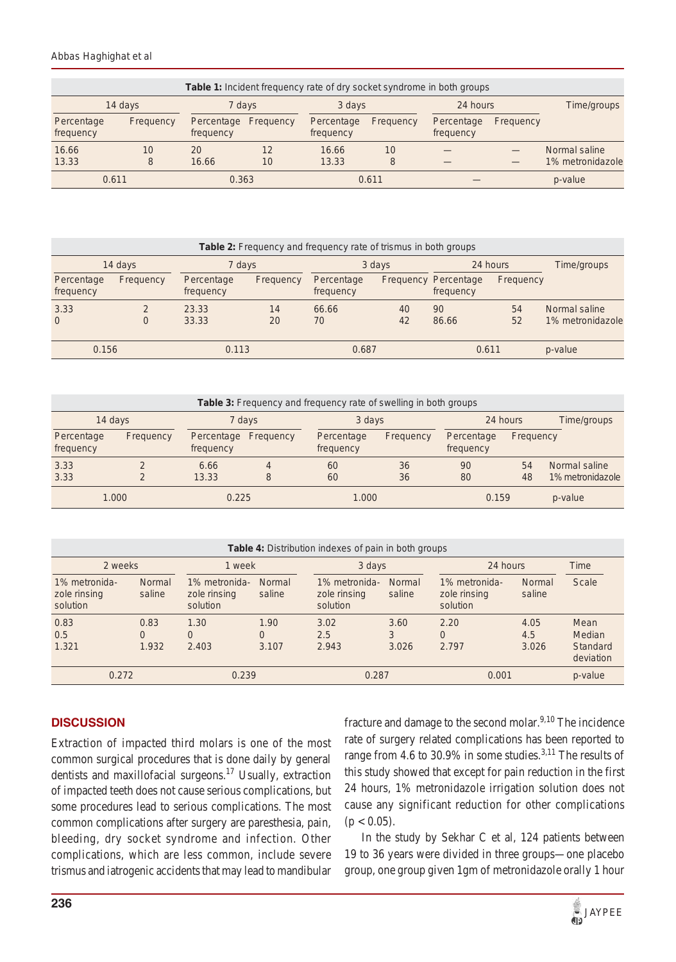#### *Abbas Haghighat et al*

| Table 1: Incident frequency rate of dry socket syndrome in both groups |           |                         |           |                         |           |                         |           |                  |  |
|------------------------------------------------------------------------|-----------|-------------------------|-----------|-------------------------|-----------|-------------------------|-----------|------------------|--|
| 14 days                                                                |           | 7 days                  |           | 3 days                  |           | 24 hours                |           | Time/groups      |  |
| Percentage<br>frequency                                                | Frequency | Percentage<br>frequency | Frequency | Percentage<br>frequency | Frequency | Percentage<br>frequency | Frequency |                  |  |
| 16.66                                                                  | 10        | 20                      | 12        | 16.66                   | 10        |                         |           | Normal saline    |  |
| 13.33                                                                  | 8         | 16.66                   | 10        | 13.33                   | 8         |                         |           | 1% metronidazole |  |
| 0.611                                                                  |           | 0.363                   |           | 0.611                   |           |                         |           | p-value          |  |

| Table 2: Frequency and frequency rate of trismus in both groups |                    |                         |           |                         |          |                                          |           |                                   |  |
|-----------------------------------------------------------------|--------------------|-------------------------|-----------|-------------------------|----------|------------------------------------------|-----------|-----------------------------------|--|
| 14 days                                                         |                    | 7 days                  |           | 3 days                  |          | 24 hours                                 |           | Time/groups                       |  |
| Percentage<br>frequency                                         | Frequency          | Percentage<br>frequency | Frequency | Percentage<br>frequency |          | <b>Frequency Percentage</b><br>frequency | Frequency |                                   |  |
| 3.33<br>$\overline{0}$                                          | $\mathcal{D}$<br>0 | 23.33<br>33.33          | 14<br>20  | 66.66<br>70             | 40<br>42 | 90<br>86.66                              | 54<br>52  | Normal saline<br>1% metronidazole |  |
| 0.156                                                           |                    | 0.113                   |           | 0.687                   |          | 0.611                                    |           | p-value                           |  |

| Table 3: Frequency and frequency rate of swelling in both groups |           |                         |           |                         |           |                         |           |                  |  |
|------------------------------------------------------------------|-----------|-------------------------|-----------|-------------------------|-----------|-------------------------|-----------|------------------|--|
| 14 days                                                          |           | 7 days                  |           | 3 days                  |           | 24 hours                |           | Time/groups      |  |
| Percentage<br>frequency                                          | Frequency | Percentage<br>frequency | Frequency | Percentage<br>frequency | Frequency | Percentage<br>frequency | Frequency |                  |  |
| 3.33                                                             |           | 6.66                    | 4         | 60                      | 36        | 90                      | 54        | Normal saline    |  |
| 3.33                                                             |           | 13.33                   | 8         | 60                      | 36        | 80                      | 48        | 1% metronidazole |  |
| 1.000                                                            |           | 0.225                   |           | 1.000                   |           | 0.159                   |           | p-value          |  |

| <b>Table 4:</b> Distribution indexes of pain in both groups |                         |                                           |                    |                                           |                         |                                           |                         |                                         |  |
|-------------------------------------------------------------|-------------------------|-------------------------------------------|--------------------|-------------------------------------------|-------------------------|-------------------------------------------|-------------------------|-----------------------------------------|--|
| 2 weeks                                                     |                         | 1 week                                    |                    | 3 days                                    |                         | 24 hours                                  |                         | Time                                    |  |
| 1% metronida-<br>zole rinsing<br>solution                   | <b>Normal</b><br>saline | 1% metronida-<br>zole rinsing<br>solution | Normal<br>saline   | 1% metronida-<br>zole rinsing<br>solution | <b>Normal</b><br>saline | 1% metronida-<br>zole rinsing<br>solution | <b>Normal</b><br>saline | <b>Scale</b>                            |  |
| 0.83<br>0.5<br>1.321                                        | 0.83<br>0<br>1.932      | 1.30<br>0<br>2.403                        | 1.90<br>0<br>3.107 | 3.02<br>2.5<br>2.943                      | 3.60<br>3<br>3.026      | 2.20<br>$\Omega$<br>2.797                 | 4.05<br>4.5<br>3.026    | Mean<br>Median<br>Standard<br>deviation |  |
| 0.272                                                       |                         | 0.239                                     |                    | 0.287                                     |                         | 0.001                                     |                         | p-value                                 |  |

# **DISCUSSION**

Extraction of impacted third molars is one of the most common surgical procedures that is done daily by general dentists and maxillofacial surgeons.17 Usually, extraction of impacted teeth does not cause serious complications, but some procedures lead to serious complications. The most common complications after surgery are paresthesia, pain, bleeding, dry socket syndrome and infection. Other complications, which are less common, include severe trismus and iatrogenic accidents that may lead to mandibular

fracture and damage to the second molar.<sup>9,10</sup> The incidence rate of surgery related complications has been reported to range from 4.6 to 30.9% in some studies.<sup>3,11</sup> The results of this study showed that except for pain reduction in the first 24 hours, 1% metronidazole irrigation solution does not cause any significant reduction for other complications  $(p < 0.05)$ .

In the study by Sekhar C et al, 124 patients between 19 to 36 years were divided in three groups—one placebo group, one group given 1gm of metronidazole orally 1 hour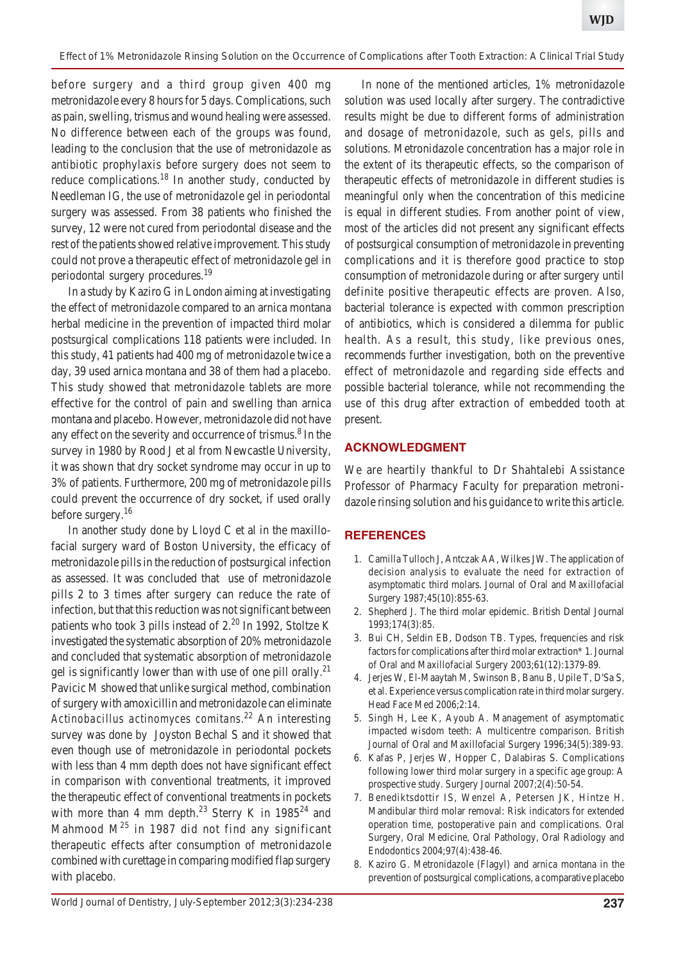before surgery and a third group given 400 mg metronidazole every 8 hours for 5 days. Complications, such as pain, swelling, trismus and wound healing were assessed. No difference between each of the groups was found, leading to the conclusion that the use of metronidazole as antibiotic prophylaxis before surgery does not seem to reduce complications.<sup>18</sup> In another study, conducted by Needleman IG, the use of metronidazole gel in periodontal surgery was assessed. From 38 patients who finished the survey, 12 were not cured from periodontal disease and the rest of the patients showed relative improvement. This study could not prove a therapeutic effect of metronidazole gel in periodontal surgery procedures.19

In a study by Kaziro G in London aiming at investigating the effect of metronidazole compared to an arnica montana herbal medicine in the prevention of impacted third molar postsurgical complications 118 patients were included. In this study, 41 patients had 400 mg of metronidazole twice a day, 39 used arnica montana and 38 of them had a placebo. This study showed that metronidazole tablets are more effective for the control of pain and swelling than arnica montana and placebo. However, metronidazole did not have any effect on the severity and occurrence of trismus.<sup>8</sup> In the survey in 1980 by Rood J et al from Newcastle University, it was shown that dry socket syndrome may occur in up to 3% of patients. Furthermore, 200 mg of metronidazole pills could prevent the occurrence of dry socket, if used orally before surgery.<sup>16</sup>

In another study done by Lloyd C et al in the maxillofacial surgery ward of Boston University, the efficacy of metronidazole pills in the reduction of postsurgical infection as assessed. It was concluded that use of metronidazole pills 2 to 3 times after surgery can reduce the rate of infection, but that this reduction was not significant between patients who took 3 pills instead of 2.<sup>20</sup> In 1992, Stoltze K investigated the systematic absorption of 20% metronidazole and concluded that systematic absorption of metronidazole gel is significantly lower than with use of one pill orally.<sup>21</sup> Pavicic M showed that unlike surgical method, combination of surgery with amoxicillin and metronidazole can eliminate *Actinobacillus actinomyces comitans*. 22 An interesting survey was done by Joyston Bechal S and it showed that even though use of metronidazole in periodontal pockets with less than 4 mm depth does not have significant effect in comparison with conventional treatments, it improved the therapeutic effect of conventional treatments in pockets with more than 4 mm depth.<sup>23</sup> Sterry K in  $1985^{24}$  and Mahmood  $M^{25}$  in 1987 did not find any significant therapeutic effects after consumption of metronidazole combined with curettage in comparing modified flap surgery with placebo.

In none of the mentioned articles, 1% metronidazole solution was used locally after surgery. The contradictive results might be due to different forms of administration and dosage of metronidazole, such as gels, pills and solutions. Metronidazole concentration has a major role in the extent of its therapeutic effects, so the comparison of therapeutic effects of metronidazole in different studies is meaningful only when the concentration of this medicine is equal in different studies. From another point of view, most of the articles did not present any significant effects of postsurgical consumption of metronidazole in preventing complications and it is therefore good practice to stop consumption of metronidazole during or after surgery until definite positive therapeutic effects are proven. Also, bacterial tolerance is expected with common prescription of antibiotics, which is considered a dilemma for public health. As a result, this study, like previous ones, recommends further investigation, both on the preventive effect of metronidazole and regarding side effects and possible bacterial tolerance, while not recommending the use of this drug after extraction of embedded tooth at present.

## **ACKNOWLEDGMENT**

We are heartily thankful to Dr Shahtalebi Assistance Professor of Pharmacy Faculty for preparation metronidazole rinsing solution and his guidance to write this article.

# **REFERENCES**

- 1. Camilla Tulloch J, Antczak AA, Wilkes JW. The application of decision analysis to evaluate the need for extraction of asymptomatic third molars. Journal of Oral and Maxillofacial Surgery 1987;45(10):855-63.
- 2. Shepherd J. The third molar epidemic. British Dental Journal 1993;174(3):85.
- 3. Bui CH, Seldin EB, Dodson TB. Types, frequencies and risk factors for complications after third molar extraction\* 1. Journal of Oral and Maxillofacial Surgery 2003;61(12):1379-89.
- 4. Jerjes W, El-Maaytah M, Swinson B, Banu B, Upile T, D'Sa S, et al. Experience versus complication rate in third molar surgery. Head Face Med 2006;2:14.
- 5. Singh H, Lee K, Ayoub A. Management of asymptomatic impacted wisdom teeth: A multicentre comparison. British Journal of Oral and Maxillofacial Surgery 1996;34(5):389-93.
- 6. Kafas P, Jerjes W, Hopper C, Dalabiras S. Complications following lower third molar surgery in a specific age group: A prospective study. Surgery Journal 2007;2(4):50-54.
- 7. Benediktsdottir IS, Wenzel A, Petersen JK, Hintze H. Mandibular third molar removal: Risk indicators for extended operation time, postoperative pain and complications. Oral Surgery, Oral Medicine, Oral Pathology, Oral Radiology and Endodontics 2004;97(4):438-46.
- 8. Kaziro G. Metronidazole (Flagyl) and arnica montana in the prevention of postsurgical complications, a comparative placebo